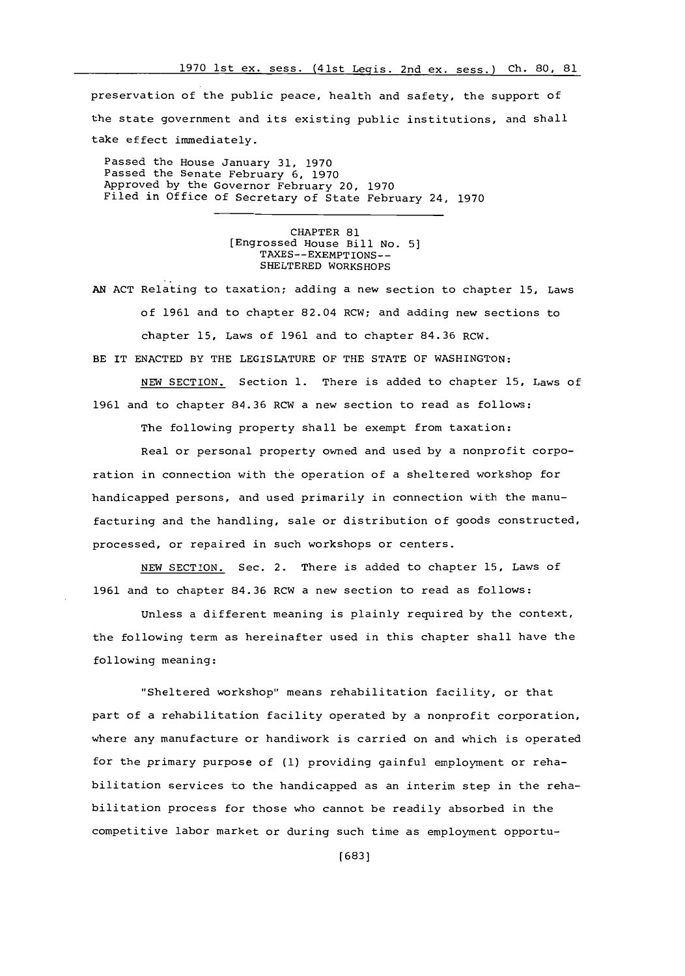preservation of the public peace, health and safety, the support of the state government and its existing public institutions, and shall take effect immediately.

Passed the House January **31, 1970** Passed the Senate February **6, 1970** Approved **hy** the Governor February 20, **1970** Filed in Office of Secretary of State February 24, **1970**

> CHAPTER **81** [Engrossed House Bill No. **5]** TAXES--EXEMPTIONS-- SHELTERED WORKSHOPS

**AN ACT** Relating to taxation; adding a new section to chapter **15,** Laws of **1961** and to chapter 82.04 RCW; and adding new sections to chapter **15,** Laws of **1961** and to chapter **84.36 RCW.** BE IT **ENACTED** BY THE LEGISLATURE OF THE **STATE** OF WASHINGTON:

**NEW** SECTION. Section **1.** There is added to chapter **15,** Laws of **1961** and to chapter **84.36** RCW a new section to read as follows:

The following property shall be exempt from taxation:

Real or personal property owned and used **by** a nonprofit corporation in connection with the operation of a sheltered workshop for handicapped persons, and used primarily in connection with the manufacturing and the handling, sale or distribution of goods constructed, processed, or repaired in such workshops or centers.

**NEW** SECTION. Sec. 2. There is added to chapter **15,** Laws of **1961** and to chapter **84.36** RCW a new section to read as follows:

Unless a different meaning is plainly required **by** the context, the following term as hereinafter used in this chapter shall have the following meaning:

"Sheltered workshop" means rehabilitation facility, or that part of a rehabilitation facility operated **by** a nonprofit corporation, where any manufacture or handiwork is carried on and which is operated for the primary purpose of **(1)** providing gainful employment or rehabilitation services to the handicapped as an interim step in the rehabilitation process for those who cannot be readily absorbed in the competitive labor market or during such time as employment opportu-

**[683]**